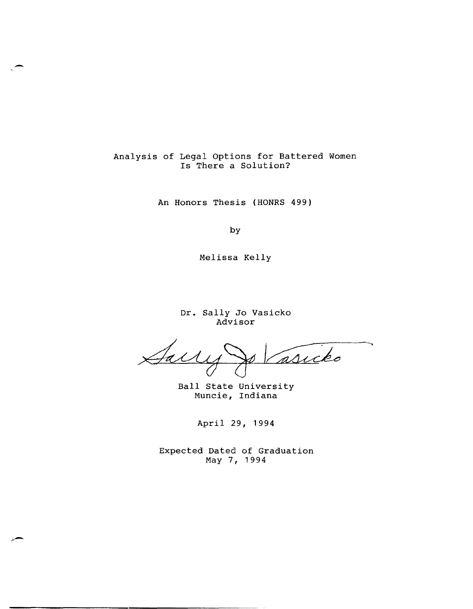# Analysis of Legal Options for Battered Women Is There a Solution?

-

.. -

An Honors Thesis (HONRS 499)

by

Melissa Kelly

Dr. Sally Jo Vasicko Advisor

 $\overline{\phantom{0}}$ Jal asicko

Ball State University Muncie, Indiana

April 29, 1994

Expected Dated of Graduation May 7, 1994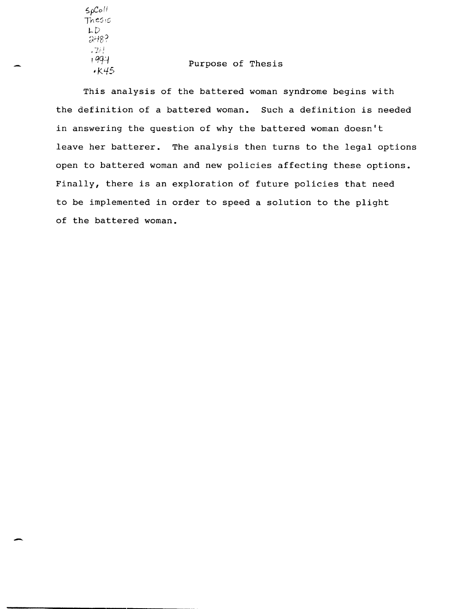$6.6$   $611$ TheSiS  $LD$ 248?  $\frac{734}{1994}$  $k45$ 

-

### Purpose of Thesis

This analysis of the battered woman syndrome begins with the definition of a battered woman. Such a definition is needed in answering the question of why the battered woman doesn't leave her batterer. The analysis then turns to the legal options open to battered woman and new policies affecting these options. Finally, there is an exploration of future policies that need to be implemented in order to speed a solution to the plight of the battered woman.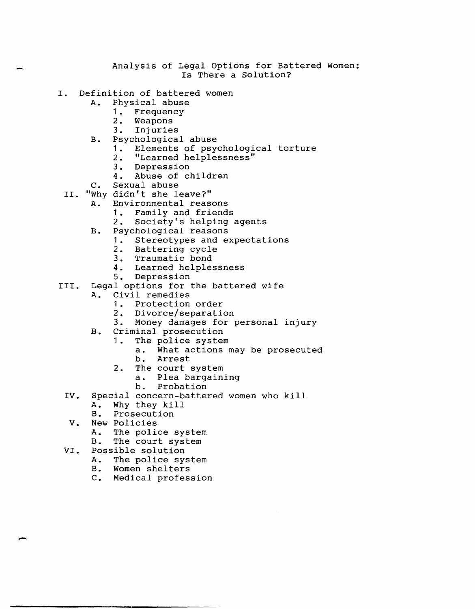#### Analysis of Legal Options for Battered Women: Is There a Solution?

- I. Definition of battered women<br>A. Physical abuse
	- Physical abuse
		- 1. Frequency<br>2. Weapons
		- Weapons
		- 3. Injuries
	- B. Psychological abuse
		- 1. Elements of psychological torture<br>2. "Learned helplessness"
		- 2. "Learned helplessness"<br>3. Depression
		- Depression
		- 4. Abuse of children
	- C. Sexual abuse
	- II. "Why didn't she leave?"
		- A. Environmental reasons
			- 1. Family and friends<br>2. Society's helping
				- Society's helping agents
		- B. Psychological reasons
			- 1. Stereotypes and expectations<br>2. Battering cycle
			- Battering cycle
			- 3. Traumatic bond
			- 4. Learned helplessness
			- 5. Depression
- III. Legal options for the battered wife
	- A. Civil remedies
		- 1. Protection order<br>2. Divorce/separation
		- Divorce/separation
		- 3. Money damages for personal injury
	- B. Criminal prosecution
		- 1. The police system
			- a. What actions may be prosecuted b. Arrest
		- 2. The court system
			- a. Plea bargaining
				-
				- b. Probation
	- IV. Special concern-battered women who kill<br>A. Why they kill
		- A. Why they kill
		- Prosecution
	- V. New Policies

- A. The police system<br>B. The court system
- The court system
- VI. Possible solution
	- A. The police system<br>B. Women shelters
	- B. Women shelters<br>C. Medical profes:
	- Medical profession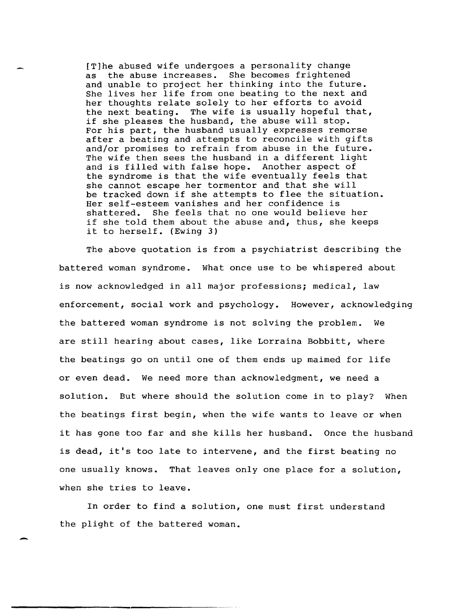[T]he abused wife undergoes a personality change as the abuse increases. She becomes frightened and unable to project her thinking into the future. She lives her life from one beating to the next and her thoughts relate solely to her efforts to avoid the next beating. The wife is usually hopeful that, if she pleases the husband, the abuse will stop. For his part, the husband usually expresses remorse after a beating and attempts to reconcile with gifts and/or promises to refrain from abuse in the future. The wife then sees the husband in a different light and is filled with false hope. Another aspect of the syndrome is that the wife eventually feels that she cannot escape her tormentor and that she will be tracked down if she attempts to flee the situation. Her self-esteem vanishes and her confidence is shattered. She feels that no one would believe her if she told them about the abuse and, thus, she keeps it to herself. (Ewing 3)

The above quotation is from a psychiatrist describing the battered woman syndrome. What once use to be whispered about is now acknowledged in all major professions; medical, law enforcement, social work and psychology. However, acknowledging the battered woman syndrome is not solving the problem. We are still hearing about cases, like Lorraina Bobbitt, where the beatings go on until one of them ends up maimed for life or even dead. We need more than acknowledgment, we need a solution. But where should the solution come in to play? When the beatings first begin, when the wife wants to leave or when it has gone too far and she kills her husband. Once the husband is dead, it's too late to intervene, and the first beating no one usually knows. That leaves only one place for a solution, when she tries to leave.

In order to find a solution, one must first understand the plight of the battered woman.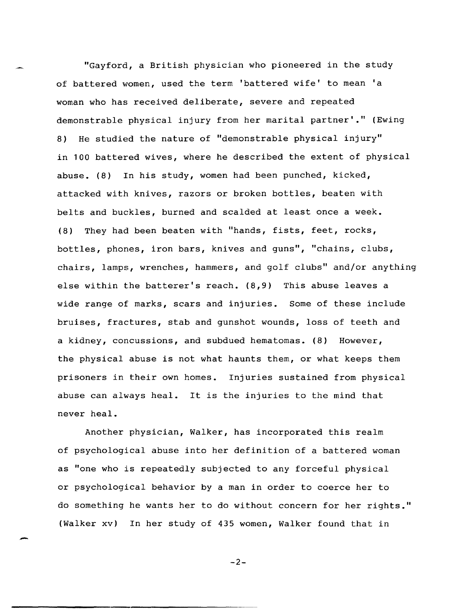"Gayford, a British physician who pioneered in the study of battered women, used the term 'battered wife' to mean 'a woman who has received deliberate, severe and repeated demonstrable physical injury from her marital partner'." (Ewing 8) He studied the nature of "demonstrable physical injury" in 100 battered wives, where he described the extent of physical abuse. (8) In his study, women had been punched, kicked, attacked with knives, razors or broken bottles, beaten with belts and buckles, burned and scalded at least once a week. (8) They had been beaten with "hands, fists, feet, rocks, bottles, phones, iron bars, knives and guns", "chains, clubs, chairs, lamps, wrenches, hammers, and golf clubs" and/or anything else within the batterer's reach. (8,9) This abuse leaves a wide range of marks, scars and injuries. Some of these include bruises, fractures, stab and gunshot wounds, loss of teeth and a kidney, concussions, and subdued hematomas. (8) However, the physical abuse is not what haunts them, or what keeps them prisoners in their own homes. Injuries sustained from physical abuse can always heal. It is the injuries to the mind that never heal.

Another physician, Walker, has incorporated this realm of psychological abuse into her definition of a battered woman as "one who is repeatedly subjected to any forceful physical or psychological behavior by a man in order to coerce her to do something he wants her to do without concern for her rights." (Walker xv) In her study of 435 women, Walker found that in

-2-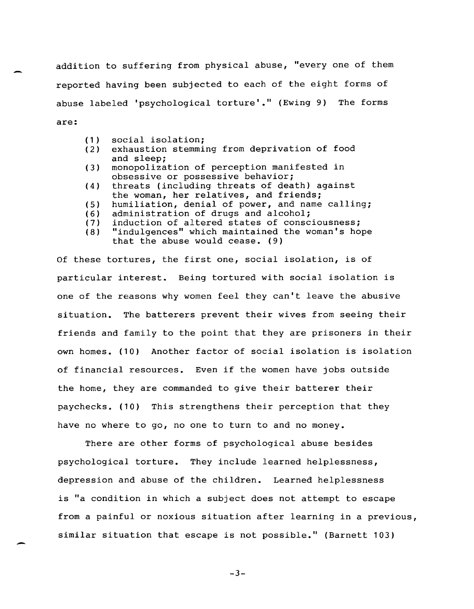addition to suffering from physical abuse, "every one of them reported having been subjected to each of the eight forms of abuse labeled 'psychological torture'." (Ewing 9) The forms are:

(1) social isolation;<br>(2) exhaustion stemmi

-

-

- exhaustion stemming from deprivation of food and sleep;
- (3) monopolization of perception manifested in obsessive or possessive behavior;
- (4) threats (including threats of death) against the woman, her relatives, and friends;
- (5) humiliation, denial of power, and name calling;<br>(6) administration of drugs and alcohol;
- 
- (6) administration of drugs and alcohol;<br>(7) induction of altered states of consc. (7) induction of altered states of consciousness;<br>(8) "indulgences" which maintained the woman's hop
- "indulgences" which maintained the woman's hope that the abuse would cease. (9)

Of these tortures, the first one, social isolation, is of particular interest. Being tortured with social isolation is one of the reasons why women feel they can't leave the abusive situation. The batterers prevent their wives from seeing their friends and family to the point that they are prisoners in their own homes. (10) Another factor of social isolation is isolation of financial resources. Even if the women have jobs outside the home, they are commanded to give their batterer their paychecks. (10) This strengthens their perception that they have no where to go, no one to turn to and no money.

There are other forms of psychological abuse besides psychological torture. They include learned helplessness, depression and abuse of the children. Learned helplessness is "a condition in which a subject does not attempt to escape from a painful or noxious situation after learning in a previous, similar situation that escape is not possible." (Barnett 103)

-3-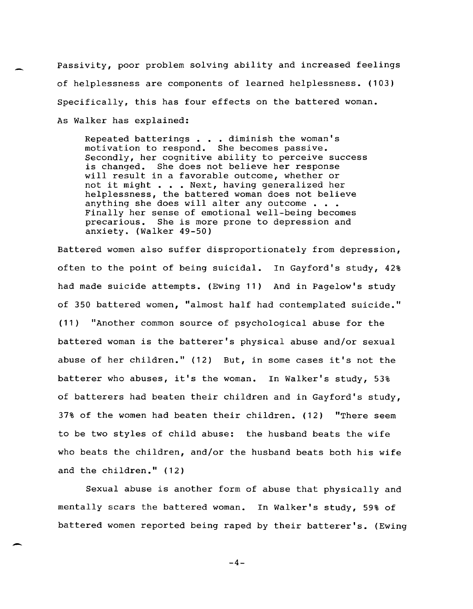Passivity, poor problem solving ability and increased feelings of helplessness are components of learned helplessness. (103) Specifically, this has four effects on the battered woman. As Walker has explained:

-

-

Repeated batterings . . . diminish the woman's motivation to respond. She becomes passive. Secondly, her cognitive ability to perceive success is changed. She does not believe her response will result in a favorable outcome, whether or not it might . . . Next, having generalized her helplessness, the battered woman does not believe anything she does will alter any outcome  $\ldots$ Finally her sense of emotional well-being becomes precarious. She is more prone to depression and anxiety. (Walker 49-50)

Battered women also suffer disproportionately from depression, often to the point of being suicidal. In Gayford's study, 42% had made suicide attempts. (Ewing 11) And in Pagelow's study of 350 battered women, "almost half had contemplated suicide." (11) "Another common source of psychological abuse for the battered woman is the batterer's physical abuse and/or sexual abuse of her children." (12) But, in some cases it's not the batterer who abuses, it's the woman. In Walker's study, 53% of batterers had beaten their children and in Gayford's study, 37% of the women had beaten their children. (12) "There seem to be two styles of child abuse: the husband beats the wife who beats the children, and/or the husband beats both his wife and the children." (12)

Sexual abuse is another form of abuse that physically and mentally scars the battered woman. In Walker's study, 59% of battered women reported being raped by their batterer's. (Ewing

 $-4-$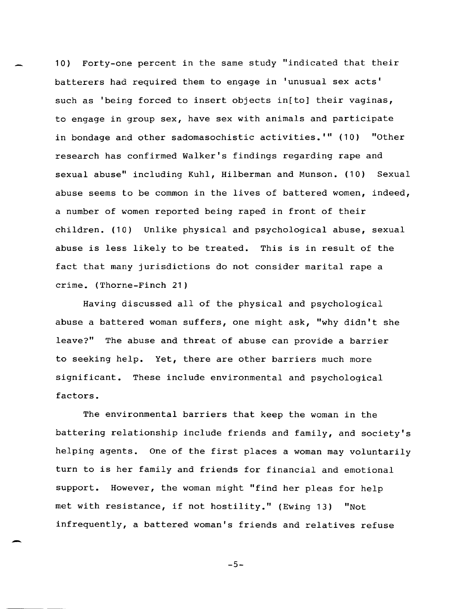10) Forty-one percent in the same study "indicated that their batterers had required them to engage in 'unusual sex acts' such as 'being forced to insert objects in[to] their vaginas, to engage in group sex, have sex with animals and participate in bondage and other sadomasochistic activities. '" (10) "Other research has confirmed Walker's findings regarding rape and sexual abuse" including Kuhl, Hilberman and Munson. (10) Sexual abuse seems to be common in the lives of battered women, indeed, a number of women reported being raped in front of their children. (10) Unlike physical and psychological abuse, sexual abuse is less likely to be treated. This is in result of the fact that many jurisdictions do not consider marital rape a crime. (Thorne-Finch 21)

Having discussed all of the physical and psychological abuse a battered woman suffers, one might ask, "why didn't she leave?" The abuse and threat of abuse can provide a barrier to seeking help. Yet, there are other barriers much more significant. These include environmental and psychological factors.

The environmental barriers that keep the woman in the battering relationship include friends and family, and society's helping agents. One of the first places a woman may voluntarily turn to is her family and friends for financial and emotional support. However, the woman might "find her pleas for help met with resistance, if not hostility." (Ewing 13) "Not infrequently, a battered woman's friends and relatives refuse

 $-5-$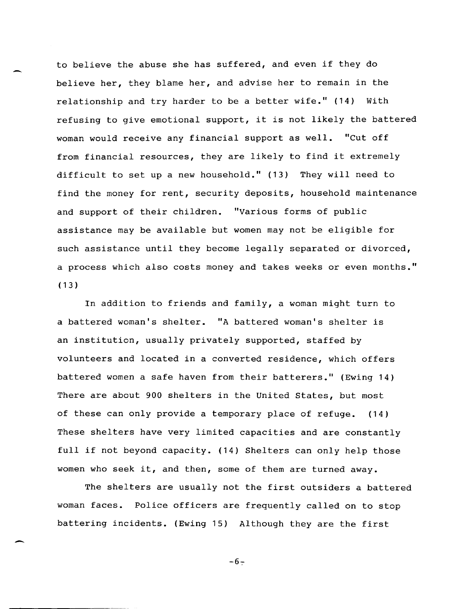to believe the abuse she has suffered, and even if they do believe her, they blame her, and advise her to remain in the relationship and try harder to be a better wife." (14) With refusing to give emotional support, it is not likely the battered woman would receive any financial support as well. "Cut off from financial resources, they are likely to find it extremely difficult to set up a new household." (13) They will need to find the money for rent, security deposits, household maintenance and support of their children. "Various forms of public assistance may be available but women may not be eligible for such assistance until they become legally separated or divorced, a process which also costs money and takes weeks or even months."  $(13)$ 

-

-

In addition to friends and family, a woman might turn to a battered woman's shelter. "A battered woman's shelter is an institution, usually privately supported, staffed by volunteers and located in a converted residence, which offers battered women a safe haven from their batterers." (Ewing 14) There are about 900 shelters in the United states, but most of these can only provide a temporary place of refuge. (14) These shelters have very limited capacities and are constantly full if not beyond capacity. (14) Shelters can only help those women who seek it, and then, some of them are turned away.

The shelters are usually not the first outsiders a battered woman faces. Police officers are frequently called on to stop battering incidents. (Ewing 15) Although they are the first

 $-6-$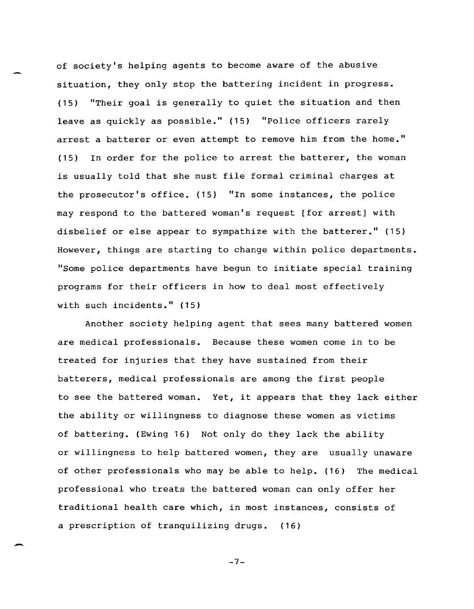of society's helping agents to become aware of the abusive situation, they only stop the battering incident in progress. (15) "Their goal is generally to quiet the situation and then leave as quickly as possible." (15) "Police officers rarely arrest a batterer or even attempt to remove him from the home." (15) In order for the police to arrest the batterer, the woman is usually told that she must file formal criminal charges at the prosecutor's office. (15) "In some instances, the police may respond to the battered woman's request [for arrest] with disbelief or else appear to sympathize with the batterer." (15) However, things are starting to change within police departments. "Some police departments have begun to initiate special training programs for their officers in how to deal most effectively with such incidents." (15)

Another society helping agent that sees many battered women are medical professionals. Because these women come in to be treated for injuries that they have sustained from their batterers, medical professionals are among the first people to see the battered woman. Yet, it appears that they lack either the ability or willingness to diagnose these women as victims of battering. (Ewing 16) Not only do they lack the ability or willingness to help battered women, they are usually unaware of other professionals who may be able to help. (16) The medical professional who treats the battered woman can only offer her traditional health care which, in most instances, consists of a prescription of tranquilizing drugs. (16)

-7-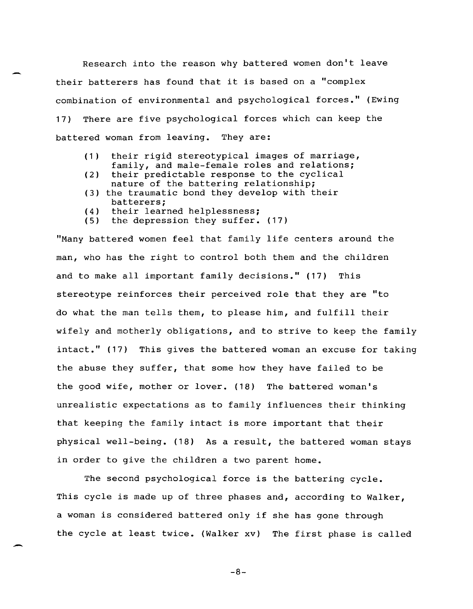Research into the reason why battered women don't leave their batterers has found that it is based on a "complex combination of environmental and psychological forces." (Ewing 17) There are five psychological forces which can keep the battered woman from leaving. They are:

- (1) their rigid stereotypical images of marriage, family, and male-female roles and relations;
- (2) their predictable response to the cyclical nature of the battering relationship;
- (3) the traumatic bond they develop with their batterers;
- (4) their learned helplessness;<br>(5) the depression they suffer.
- the depression they suffer. (17)

"Many battered women feel that family life centers around the man, who has the right to control both them and the children and to make all important family decisions." (17) This stereotype reinforces their perceived role that they are "to do what the man tells them, to please him, and fulfill their wifely and motherly obligations, and to strive to keep the family intact." (17) This gives the battered woman an excuse for taking the abuse they suffer, that some how they have failed to be the good wife, mother or lover. (18) The battered woman's unrealistic expectations as to family influences their thinking that keeping the family intact is more important that their physical well-being. (18) As a result, the battered woman stays in order to give the children a two parent home.

The second psychological force is the battering cycle. This cycle is made up of three phases and, according to Walker, a woman is considered battered only if she has gone through the cycle at least twice. (Walker xv) The first phase is called

-8-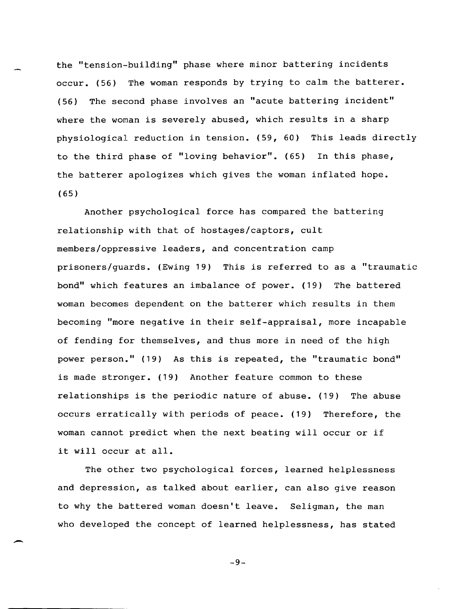the "tension-building" phase where minor battering incidents occur. (56) The woman responds by trying to calm the batterer. (56) The second phase involves an "acute battering incident" where the woman is severely abused, which results in a sharp physiological reduction in tension. (59, 60) This leads directly to the third phase of "loving behavior". (65) In this phase, the batterer apologizes which gives the woman inflated hope. (65)

Another psychological force has compared the battering relationship with that of hostages/captors, cult members/oppressive leaders, and concentration camp prisoners/guards. (Ewing 19) This is referred to as a "traumatic bond" which features an imbalance of power. (19) The battered woman becomes dependent on the batterer which results in them becoming "more negative in their self-appraisal, more incapable of fending for themselves, and thus more in need of the high power person." (19) As this is repeated, the "traumatic bond" is made stronger. (19) Another feature common to these relationships is the periodic nature of abuse. (19) The abuse occurs erratically with periods of peace. (19) Therefore, the woman cannot predict when the next beating will occur or if it will occur at all.

The other two psychological forces, learned helplessness and depression, as talked about earlier, can also give reason to why the battered woman doesn't leave. Seligman, the man who developed the concept of learned helplessness, has stated

-

-9-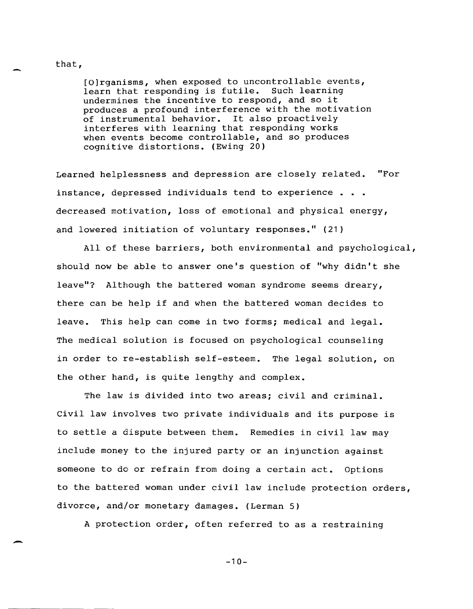## [0] rganisms , when exposed to uncontrollable events, learn that responding is futile. Such learning undermines the incentive to respond, and so it produces a profound interference with the motivation of instrumental behavior. It also proactively interferes with learning that responding works when events become controllable, and so produces cognitive distortions. (Ewing 20)

Learned helplessness and depression are closely related. "For instance, depressed individuals tend to experience . . . decreased motivation, loss of emotional and physical energy, and lowered initiation of voluntary responses." (21)

All of these barriers, both environmental and psychological, should now be able to answer one's question of "why didn't she leave"? Although the battered woman syndrome seems dreary, there can be help if and when the battered woman decides to leave. This help can come in two forms; medical and legal. The medical solution is focused on psychological counseling in order to re-establish self-esteem. The legal solution, on the other hand, is quite lengthy and complex.

The law is divided into two areas; civil and criminal. Civil law involves two private individuals and its purpose is to settle a dispute between them. Remedies in civil law may include money to the injured party or an injunction against someone to do or refrain from doing a certain act. Options to the battered woman under civil law include protection orders, divorce, and/or monetary damages. (Lerman 5)

A protection order, often referred to as a restraining

that,

 $-10-$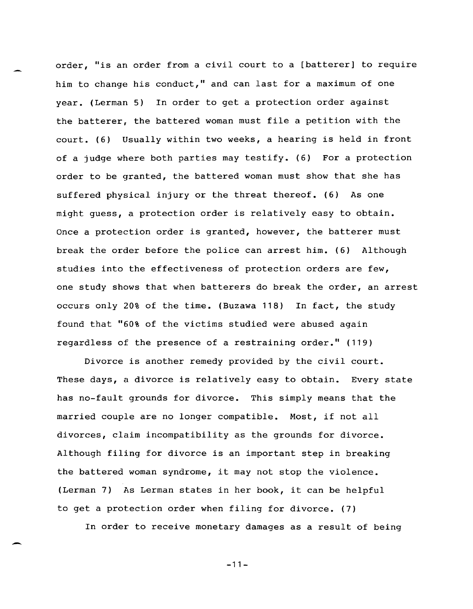order, "is an order from a civil court to a [batterer] to require him to change his conduct," and can last for a maximum of one year. (Lerman 5) In order to get a protection order against the batterer, the battered woman must file a petition with the court. (6) Usually within two weeks, a hearing is held in front of a judge where both parties may testify. (6) For a protection order to be granted, the battered woman must show that she has suffered physical injury or the threat thereof. (6) As one might guess, a protection order is relatively easy to obtain. Once a protection order is granted, however, the batterer must break the order before the police can arrest him. (6) Although studies into the effectiveness of protection orders are few, one study shows that when batterers do break the order, an arrest occurs only 20% of the time. (Buzawa 118) In fact, the study found that "60% of the victims studied were abused again regardless of the presence of a restraining order." (119)

Divorce is another remedy provided by the civil court. These days, a divorce is relatively easy to obtain. Every state has no-fault grounds for divorce. This simply means that the married couple are no longer compatible. Most, if not all divorces, claim incompatibility as the grounds for divorce. Although filing for divorce is an important step in breaking the battered woman syndrome, it may not stop the violence. (Lerman 7) As Lerman states in her book, it can be helpful to get a protection order when filing for divorce. (7)

In order to receive monetary damages as a result of being

-11-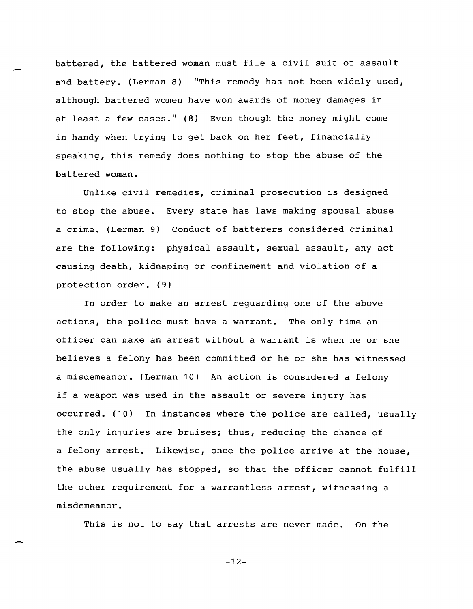battered, the battered woman must file a civil suit of assault and battery. (Lerman 8) "This remedy has not been widely used, although battered women have won awards of money damages in at least a few cases."  $(8)$  Even though the money might come in handy when trying to get back on her feet, financially speaking, this remedy does nothing to stop the abuse of the battered woman.

Unlike civil remedies, criminal prosecution is designed to stop the abuse. Every state has laws making spousal abuse a crime. (Lerman 9) Conduct of batterers considered criminal are the following: physical assault, sexual assault, any act causing death, kidnaping or confinement and violation of a protection order. (9)

In order to make an arrest reguarding one of the above actions, the police must have a warrant. The only time an officer can make an arrest without a warrant is when he or she believes a felony has been committed or he or she has witnessed a misdemeanor. (Lerman 10) An action is considered a felony if a weapon was used in the assault or severe injury has occurred. (10) In instances where the police are called, usually the only injuries are bruises; thus, reducing the chance of a felony arrest. Likewise, once the police arrive at the house, the abuse usually has stopped, so that the officer cannot fulfill the other requirement for a warrantless arrest, witnessing a misdemeanor.

This is not to say that arrests are never made. On the

 $-12-$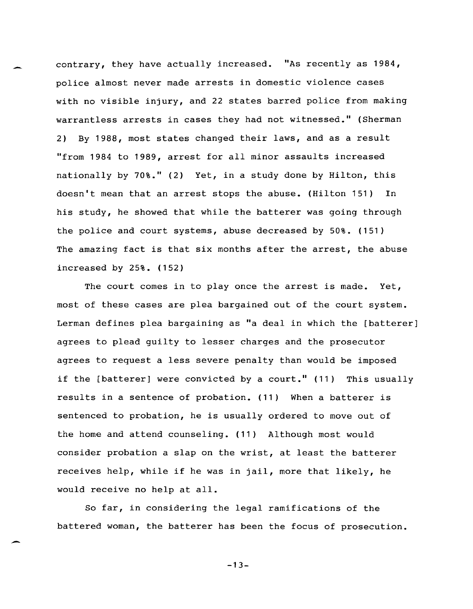contrary, they have actually increased. "As recently as 1984, police almost never made arrests in domestic violence cases with no visible injury, and 22 states barred police from making warrantless arrests in cases they had not witnessed." (Sherman 2) By 1988, most states changed their laws, and as a result "from 1984 to 1989, arrest for all minor assaults increased nationally by 70%." (2) Yet, in a study done by Hilton, this doesn't mean that an arrest stops the abuse. (Hilton 151) In his study, he showed that while the batterer was going through the police and court systems, abuse decreased by 50%. (151) The amazing fact is that six months after the arrest, the abuse increased by 25%. (152)

The court comes in to play once the arrest is made. Yet, most of these cases are plea bargained out of the court system. Lerman defines plea bargaining as "a deal in which the [batterer] agrees to plead guilty to lesser charges and the prosecutor agrees to request a less severe penalty than would be imposed if the [batterer] were convicted by a court." (11) This usually results in a sentence of probation. (11) When a batterer is sentenced to probation, he is usually ordered to move out of the home and attend counseling. (11) Although most would consider probation a slap on the wrist, at least the batterer receives help, while if he was in jail, more that likely, he would receive no help at all.

So far, in considering the legal ramifications of the battered woman, the batterer has been the focus of prosecution.

 $-13-$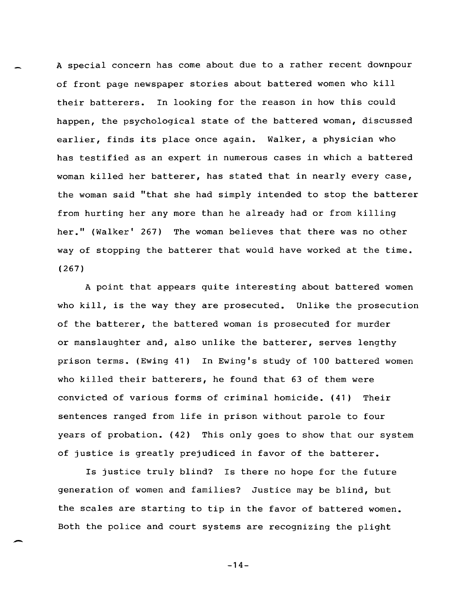A special concern has come about due to a rather recent downpour of front page newspaper stories about battered women who kill their batterers. In looking for the reason in how this could happen, the psychological state of the battered woman, discussed earlier, finds its place once again. Walker, a physician who has testified as an expert in numerous cases in which a battered woman killed her batterer, has stated that in nearly every case, the woman said "that she had simply intended to stop the batterer from hurting her any more than he already had or from killing her." (Walker' 267) The woman believes that there was no other way of stopping the batterer that would have worked at the time. (267)

A point that appears quite interesting about battered women who kill, is the way they are prosecuted. Unlike the prosecution of the batterer, the battered woman is prosecuted for murder or manslaughter and, also unlike the batterer, serves lengthy prison terms. (Ewing 41) In Ewing's study of 100 battered women who killed their batterers, he found that 63 of them were convicted of various forms of criminal homicide. (41) Their sentences ranged from life in prison without parole to four years of probation. (42) This only goes to show that our system of justice is greatly prejudiced in favor of the batterer.

Is justice truly blind? Is there no hope for the future generation of women and families? Justice may be blind, but the scales are starting to tip in the favor of battered women. Both the police and court systems are recognizing the plight

 $-14-$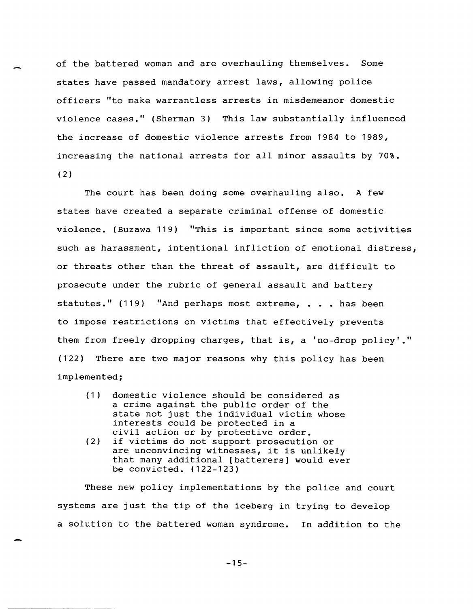of the battered woman and are overhauling themselves. Some states have passed mandatory arrest laws, allowing police officers "to make warrantless arrests in misdemeanor domestic violence cases." (Sherman 3) This law substantially influenced the increase of domestic violence arrests from 1984 to 1989, increasing the national arrests for all minor assaults by 70%.  $(2)$ 

The court has been doing some overhauling also. A few states have created a separate criminal offense of domestic violence. (Buzawa 119) "This is important since some activities such as harassment, intentional infliction of emotional distress, or threats other than the threat of assault, are difficult to prosecute under the rubric of general assault and battery statutes." (119) "And perhaps most extreme, . . . has been to impose restrictions on victims that effectively prevents them from freely dropping charges, that is, a 'no-drop policy'." (122) There are two major reasons why this policy has been implemented;

- (1) domestic violence should be considered as a crime against the public order of the state not just the individual victim whose interests could be protected in a civil action or by protective order.
- (2) if victims do not support prosecution or are unconvincing witnesses, it is unlikely that many additional [batterers] would ever be convicted. (122-123)

-

These new policy implementations by the police and court systems are just the tip of the iceberg in trying to develop a solution to the battered woman syndrome. In addition to the

 $-15-$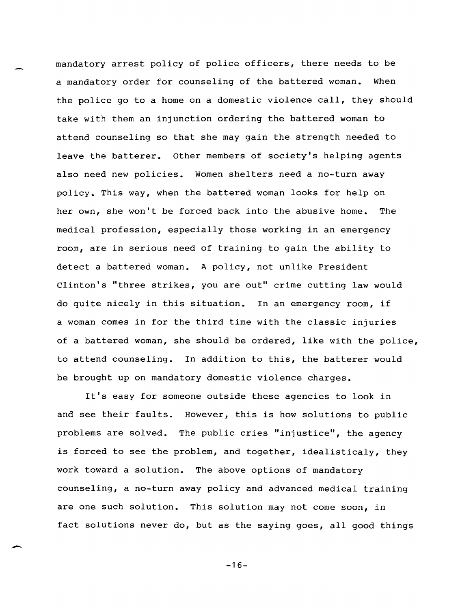mandatory arrest policy of police officers, there needs to be a mandatory order for counseling of the battered woman. When the police go to a home on a domestic violence call, they should take with them an injunction ordering the battered woman to attend counseling so that she may gain the strength needed to leave the batterer. Other members of society's helping agents also need new policies. Women shelters need a no-turn away policy. This way, when the battered woman looks for help on her own, she won't be forced back into the abusive home. The medical profession, especially those working in an emergency room, are in serious need of training to gain the ability to detect a battered woman. A policy, not unlike President Clinton's "three strikes, you are out" crime cutting law would do quite nicely in this situation. In an emergency room, if a woman comes in for the third time with the classic injuries of a battered woman, she should be ordered, like with the police, to attend counseling. In addition to this, the batterer would be brought up on mandatory domestic violence charges.

It's easy for someone outside these agencies to look in and see their faults. However, this is how solutions to public problems are solved. The public cries "injustice", the agency is forced to see the problem, and together, idealisticaly, they work toward a solution. The above options of mandatory counseling, a no-turn away policy and advanced medical training are one such solution. This solution may not come soon, in fact solutions never do, but as the saying goes, all good things

 $-16-$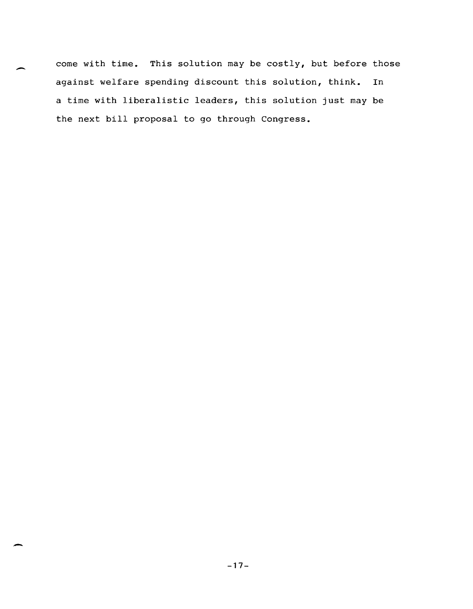come with time. This solution may be  $costly,$  but before those against welfare spending discount this solution, think. In a time with liberalistic leaders, this solution just may be the next bill proposal to go through Congress.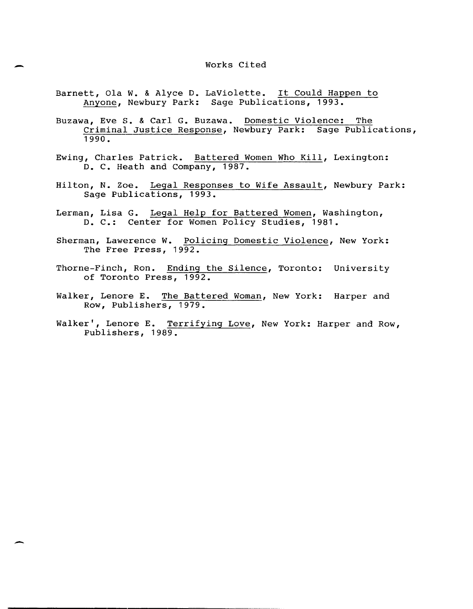- Barnett, Ola W. & Alyce D. LaViolette. It Could Happen to Anyone, Newbury Park: Sage Publications, 1993.
- Buzawa, Eve S. & Carl G. Buzawa. Domestic Violence: The Criminal Justice Response, Newbury Park: Sage Publications, 1990.
- Ewing, Charles Patrick. Battered Women Who Kill, Lexington: D. C. Heath and Company, 1987.
- Hilton, N. Zoe. Legal Responses to Wife Assault, Newbury Park: Sage Publications, 1993.
- Lerman, Lisa G. Legal Help for Battered Women, Washington, D. C.: Center for Women Policy Studies, 1981.
- Sherman, Lawerence W. Policing Domestic Violence, New York: The Free Press, 1992.
- Thorne-Finch, Ron. Ending the Silence, Toronto: University of Toronto Press, 1992.
- Walker, Lenore E. The Battered Woman, New York: Harper and ROw, Publishers, 1979.
- Walker', Lenore E. Terrifying Love, New York: Harper and Row, Publishers, 1989.